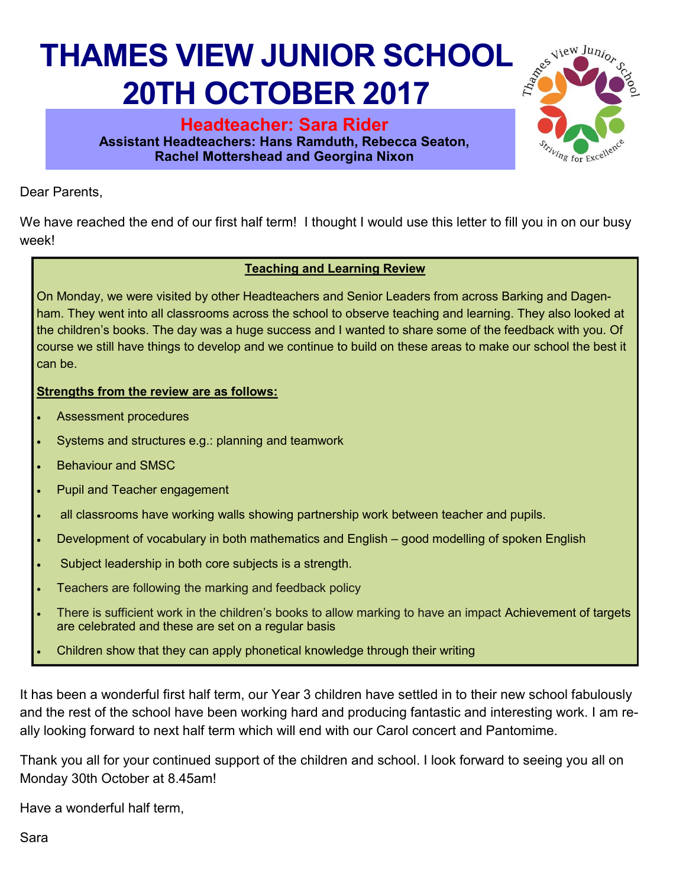## **THAMES VIEW JUNIOR SCHOOL 20TH OCTOBER 2017**

**Headteacher: Sara Rider Assistant Headteachers: Hans Ramduth, Rebecca Seaton, Rachel Mottershead and Georgina Nixon** 



Dear Parents,

We have reached the end of our first half term! I thought I would use this letter to fill you in on our busy week!

## **Teaching and Learning Review**

On Monday, we were visited by other Headteachers and Senior Leaders from across Barking and Dagenham. They went into all classrooms across the school to observe teaching and learning. They also looked at the children's books. The day was a huge success and I wanted to share some of the feedback with you. Of course we still have things to develop and we continue to build on these areas to make our school the best it can be.

## **Strengths from the review are as follows:**

- Assessment procedures
- Systems and structures e.g.: planning and teamwork
- Behaviour and SMSC
- Pupil and Teacher engagement
- all classrooms have working walls showing partnership work between teacher and pupils.
- Development of vocabulary in both mathematics and English good modelling of spoken English
- Subject leadership in both core subjects is a strength.
- Teachers are following the marking and feedback policy
- There is sufficient work in the children's books to allow marking to have an impact Achievement of targets are celebrated and these are set on a regular basis
- Children show that they can apply phonetical knowledge through their writing

It has been a wonderful first half term, our Year 3 children have settled in to their new school fabulously and the rest of the school have been working hard and producing fantastic and interesting work. I am really looking forward to next half term which will end with our Carol concert and Pantomime.

Thank you all for your continued support of the children and school. I look forward to seeing you all on Monday 30th October at 8.45am!

Have a wonderful half term,

Sara